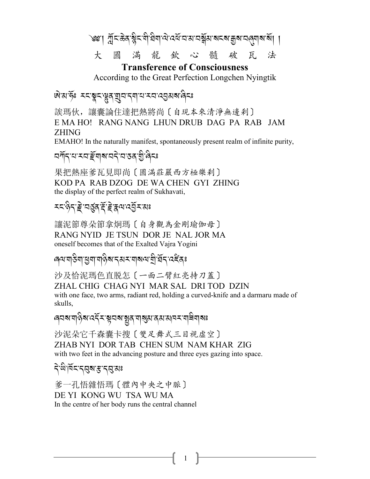৩৩ । প্লুঁহ'ক্কি'স্প্লিহ'মী'ঘিষা'ঐ'বের্শ্রাম'বাহুমাক্ষাম্বান্ত্রমান্ত্র্যান্ত্র্যা 大 圓 滿 龍 欽 心 髓 破  $\overline{\text{H}}$ 法

#### **Transference of Consciousness**

According to the Great Perfection Longchen Nyingtik

षे अफ्तुः स्वञ्जूदासुदायुवादयायास्य द्युस्रबादि

誒瑪伙,讓囊論住達把熱將尚〔自現本來清淨無邊剎〕 EMAHO! RANG NANG LHUN DRUB DAG PA RAB JAM **ZHING** 

EMAHO! In the naturally manifest, spontaneously present realm of infinite purity,

#### *মণ্*দি'য'ম্যাৰ্দ্ৰঁশৰামানৰ 'য'তৰ' গ্ৰীৰে

果把熱座爹瓦見即尚〔圓滿莊嚴西方極樂刹〕 KOD PA RAB DZOG DE WA CHEN GYI ZHING the display of the perfect realm of Sukhavati,

## *≍द'हेद'हे वर्छुय'हें हे द्वय'दर्वे र यः*

讓泥節尊朵節拿炯瑪〔自身觀為金剛瑜伽母〕 RANG NYID JE TSUN DOR JE NAL JOR MA oneself becomes that of the Exalted Vajra Yogini

*෧*ฺॺॱॺऻॖऄॺॱय़ॗॺॱॺऻऄॖॺॱॸॺॸॱॺऻॺॺॱॺॖऀॱख़॔ॸॱढ़ॾऀढ़ਃ

沙及恰泥瑪色直脱怎〔一面二臂紅亮持刀蓋〕 ZHAL CHIG CHAG NYI MAR SAL DRI TOD DZIN with one face, two arms, radiant red, holding a curved-knife and a darmaru made of skulls.

沙泥朵它千森囊卡搜〔雙足舞式三目視虛空〕 ZHAB NYI DOR TAB CHEN SUM NAM KHAR ZIG with two feet in the advancing posture and three eyes gazing into space.

## ঀ৾<sup>৻</sup>ঀৢ৻৸ড়ৼৼ৻ঀয়৽

爹一孔悟雜悟瑪〔體內中央之中脈〕 DE YI KONG WU TSA WU MA In the centre of her body runs the central channel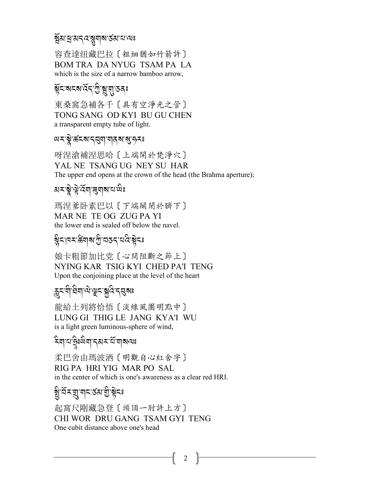#### <u>ৡ</u><br>য়৸য়৸য়৸৻ৼয়ৢয়ঢ়ৼ৻য়৸

容查達纽藏巴拉〔粗細猶如竹箭許〕 BOM TRA DA NYUG TSAM PA LA which is the size of a narrow bamboo arrow.

# !R*%-?%?-:*R*.-G* A*-*&*-*\$*-&/*:

東桑窩急補各千〔具有空淨光之管〕 TONG SANG OD KYI BU GU CHEN a transparent empty tube of light.

# *a x* \$ : क्ष्ट्र्य द्वय विद्य : अं : २

呀涅滄補涅思哈〔上端開於梵淨穴〕 YAL NE TSANG UG NEY SU HAR The upper end opens at the crown of the head (the Brahma aperture);

# ম<mark>≍'ষ্</mark>ণু'ৰ্দ্ৰিশ্ৰম্ম'য'শ্ৰঃ

瑪涅爹卧素巴以〔下端關閉於臍下〕 MAR NE TE OG ZUG PA YI the lower end is sealed off below the navel.

# ह्रैदावद<sup>्</sup>रूय|अञ्चल-दिक्षेदः

娘卡粗節加比党〔心間阻斷之節上〕 NYING KAR TSIG KYI CHED PA'I TENG Upon the conjoining place at the level of the heart

# <sup>ন্দু</sup>ন্দ্ৰাভ্ৰাণ্ড ক্ৰীড় প্ৰিস্কাঃ<br>ক্ৰীন্দ্ৰা

龍給土列將恰悟〔淡綠風團明點中〕 LUNG GI THIG LE JANG KYA'I WU is a light green luminous-sphere of wind,

#### $\mathbf{\hat{x}}$ ম্বাশস্কুঃশ্মিশ<sub>্</sub>বৰ মৰ্মায় A

柔巴舍由瑪波洒〔明觀自心紅舍字〕 RIG PA HRI YIG MAR PO SAL in the center of which is one's awareness as a clear red HRI.

# ষ্ট্ৰ<sup>,</sup> শ্ৰম্<sup>2</sup>ম ব্ৰামুক্লী, বি

起窩尺剛藏急登〔頭頂一肘許上方〕 CHI WOR DRU GANG TSAM GYI TENG One cubit distance above one's head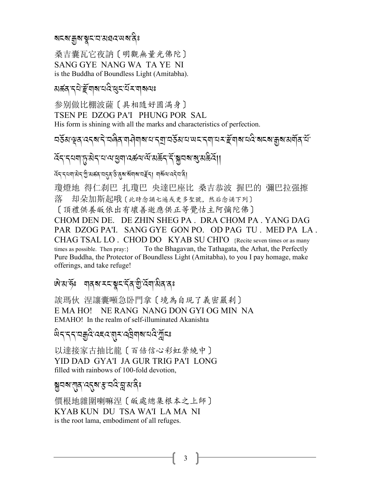য়ৼ৶য়ৗৄ৶ৼৗৼ৸ৼ৸ৼ৸ৼ

桑吉囊瓦它夜訥〔明觀無量光佛陀〕 SANG GYE NANG WA TA YE NI is the Buddha of Boundless Light (Amitabha).

#### 

参别做比棚波薩〔具相隨好圓滿身〕 TSEN PE DZOG PA'I PHUNG POR SAL His form is shining with all the marks and characteristics of perfection.

<u>၎</u>ชัย भूव दत्वाने व विव गानी गवाना ने बांचके अवालय देवाना का के बांचकर के संबंध के सं

෮ඁඁ෫ඁ෦෫ඁ෬෧෦ඁ෬෯෫෦෬෬෦෯෧෪෨෫෫෫෫෫෫෫෫෫෦෪෨෪෫෮෦෦

देन नयवासेन गुज्ञ अनुव उत्तर अत्र अवाय सहना वार्य अपदेव वी

瓊燈地 得仁刹巴 扎瓊巴 央達巴座比 桑吉恭波 握巴的 彌巴拉强擦 落 却朵加斯起哦〔此時念誦七遍或更多聖號,然后念诵下列〕

[頂禮供養皈依出有壞善逝應供正等覺怙主阿彌陀佛]

CHOM DEN DE. DE ZHIN SHEG PA. DRA CHOM PA. YANG DAG PAR DZOG PA'I. SANG GYE GON PO. OD PAG TU. MED PA LA. CHAG TSAL LO. CHOD DO KYAB SU CHI'O {Recite seven times or as many times as possible. Then  $pray$ : To the Bhagavan, the Tathagata, the Arhat, the Perfectly Pure Buddha, the Protector of Boundless Light (Amitabha), to you I pay homage, make offerings, and take refuge!

#### ঐয়ের্দ্গ শব্ম মমন্ত্বমন্ত্রী বিশাষীবাবঃ

誒瑪伙 涅讓囊噸急卧門拿〔境為自現了義密嚴剎〕 E MA HO! NE RANG NANG DON GYI OG MIN NA EMAHO! In the realm of self-illuminated Akanishta

*धे*दाददाबर् दिखहदाबादादीबाबाद्यदेख्नींदृश्च

以達接家古抽比龍〔百倍信心彩虹縈繞中〕 YID DAD GYA'I JA GUR TRIG PA'I LONG filled with rainbows of 100-fold devotion,

য়ৢঀয়ৼয়ৣঀৼ৻ৼ৻৸ৼ৻ৼ৻ড়৻ৼ৻৸৻৸

價根地雜圍喇嘛涅〔皈處總集根本之上師〕 KYAB KUN DU TSA WA'I LA MA NI is the root lama, embodiment of all refuges.

3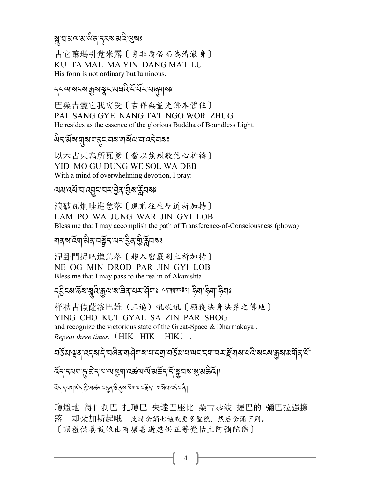# ষ্*,*প্ৰস্ৰামান্দ্ৰপূপৰা প্ৰস্থিত প্ৰস্থিত প্ৰস্থিত প্ৰস্থিত প্ৰস্থিত প্ৰস্থিত প্ৰস্থিত প্ৰস্থিত প্ৰ

古它嘛瑪引党米露〔身非庸俗而為清澈身〕 KU TA MAL MA YIN DANG MA'I LU His form is not ordinary but luminous.

*.0=-?%?-o?-*\$*%-3 ,:* A*-%*R*-2*R*<-2*8*\$?*:

巴桑吉囊它我窩受〔吉祥無量光佛本體住〕 PAL SANG GYE NANG TA'I NGO WOR ZHUG He resides as the essence of the glorious Buddha of Boundless Light.

## <sup>2</sup><br>প্ৰবৰ্ণ প্ৰাৰম্ভ ৰাজ্যৰ প্ৰাৰম্ভ ৰাজ্যৰ প্ৰাৰম্ভ কৰি সমী

以木古東為所瓦爹〔當以強烈敬信心祈禱〕 YID MO GU DUNG WE SOL WA DEB With a mind of overwhelming devotion, I pray:

ন্যপ্ৰাপ্ৰ প্ৰদেশ পৰি দুৰ্গ প্ৰাপ্ত পৰি দুৰ্গ প্ৰদেশ<br>পৰা দুৰ্গ প্ৰদেশ প্ৰদ

浪破瓦炯哇進急落〔現前往生聖道祈加持〕 LAM PO WA JUNG WAR JIN GYI LOB Bless me that I may accomplish the path of Transference-of-Consciousness (phowa)!

# শৰ্ম হেঁশ'ৰ্মৰ অস্ত্ৰীৰ্<sup>য</sup>্য বিভিন্ন প্ৰাৰমিক<br>শৰ্ম

涅卧門捉吧進急落〔趨入密嚴剎土祈加持〕 NE OG MIN DROD PAR JIN GYI LOB Bless me that I may pass to the realm of Akanishta

ব্*ই*ন্ম:হ্রম:স্কুবি:ক্রুন্ম:ম'হ্রিম্'মম:র্ম্র্মা ক্রুন্স ক্রুম্' ক্রম্যা ক্রিম্যঃ .<br>.<br>. .<br>.<br>.

样秋古假薩滲巴雄(三遍)吼吼吼〔願獲法身法界之佛地〕 YING CHO KU'I GYAL SA ZIN PAR SHOG and recognize the victorious state of the Great-Space & Dharmakaya!*. Repeat three times.* (HIK HIK HIK).

*2&*R*3-w/-:.?-.* J*-28* A*/-\$>* J*\$?-0-.P-2&*R*3-0-; % -.\$-0<-m*R*\$?-0 :* A*-?% ?-o?-3\$*R*/-0*R*-*

ৰ্দ্দি, প্ৰায়ন্ত্ৰী সম্পৰ্কে ব্ৰাৱ্য বৰ্ষৰ পৰা বিদ্যালয় কৰি সম্পৰ্কী সম্পৰ্কী সম্পৰ্কী সম্পৰ্কী সম্পৰ্কী সম্<br>প্ৰায়ন্ত্ৰী A

 $\widetilde{A}$ द्द्द्द्वाब्रद्भं कुरु अर्क्ष्व्यं स्ट्र्र्व्ह् अर्क्ष्व्यं स्ट्रंद्वि । ब्र्थित्यं दद्द्व्यं दे।

瓊燈地 得仁刹巴 扎瓊巴 央達巴座比 桑吉恭波 握巴的 彌巴拉强擦 落 却朵加斯起哦 此時念誦七遍或更多聖號,然后念诵下列。 〔頂禮供養皈依出有壞善逝應供正等覺怙主阿彌陀佛〕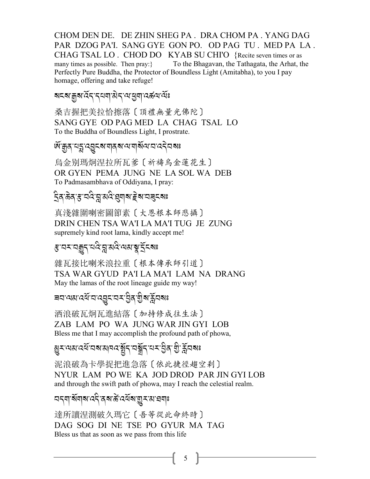CHOM DEN DE. DE ZHIN SHEG PA . DRA CHOM PA . YANG DAG PAR DZOG PA'I. SANG GYE GON PO. OD PAG TU . MED PA LA . CHAG TSAL LO. CHOD DO KYAB SU CHI'O {Recite seven times or as many times as possible. Then pray:} To the Bhagavan, the Tathagata, the Arhat, the Perfectly Pure Buddha, the Protector of Boundless Light (Amitabha), to you I pay homage, offering and take refuge!

## ষহৰা:মূৰা:বঁহ<sub>ি</sub>ব্যমা:প্ৰবা:বৰ্ষ্ণ বৰ্ষ্ণ ক্ৰি

桑吉握把美拉恰擦落〔頂禮無量光佛陀〕 SANG GYE OD PAG MED LA CHAG TSAL LO To the Buddha of Boundless Light, I prostrate.

# ম্<sup>.</sup> শ্ৰুৰ্'ন্*শ্ৰু*-ৰ'মাৰ্ৰ'ন'মাৰ্খন'ন'ন্ত্ৰৰাঃ

烏金别瑪炯涅拉所瓦爹〔祈禱烏金蓮花生〕 OR GYEN PEMA JUNG NE LA SOL WA DEB To Padmasambhava of Oddiyana, I pray:

#### ্ৰী<br>বৰ্ ক্ৰম্*য ৰ*'ন্নৰ প্ৰায়ৰ প্ৰদাসৰ বিশেষ J

真淺雜圍喇密圖節素〔大恩根本師悲攝〕 DRIN CHEN TSA WA'I LA MA'I TUG JE ZUNG supremely kind root lama, kindly accept me!

# *ধ*:বৰ্ম্মপ্ৰাৰ্থ প্ৰস্কৃত্ত্বৰাগ

雜瓦接比喇米浪拉重〔根本傳承師引道〕 TSA WAR GYUD PA'I LA MA'I LAM NA DRANG May the lamas of the root lineage guide my way!

## ৰ্মন্দ্ৰমান্ত্ৰীৰ প্ৰাপ্ত সম্ভিৰ <u>ম</u>ূৰ্য সম্ভি

洒浪破瓦炯瓦進結落〔加持修成往生法〕 ZAB LAM PO WA JUNG WAR JIN GYI LOB Bless me that I may accomplish the profound path of phowa,

#### ম্ভূ--পেপ*্*প্ৰেন্দ্ৰৰ প্ৰাপ্ত কৰি প্ৰাপ্ত কৰি প্ৰাপ্ত কৰি প্ৰাপ্ত কৰি প্ৰাপ্ত কৰি প্ৰাপ্ত কৰি প্ৰাপ্ত কৰি প্ৰা<br>প্ৰাপ্ত কৰি প্ৰাপ্ত কৰি প্ৰাপ্ত কৰি প্ৰাপ্ত কৰি প্ৰাপ্ত কৰি প্ৰাপ্ত কৰি প্ৰাপ্ত কৰি প্ৰাপ্ত কৰি প্ৰাপ্ত কৰি প A

泥浪破為卡學捉把進急落〔依此捷徑趨空剎〕 NYUR LAM PO WE KA JOD DROD PAR JIN GYI LOB and through the swift path of phowa, may I reach the celestial realm.

## মন্ম ৰ্মলৰ বেনী ৰাজ্যৰ স্পৰ্ট পৰি স্পৰ্ট স্পৰ্ট স্পৰ্ট স্পৰ্ট স্পৰ্ট স্পৰ্ট স্পৰ্ট স্পৰ্ট স্পৰ্ট স্পৰ্ট স্পৰ্ট<br>মাৰাজ্যৰ স্পৰ্ট স্পৰ্ট স্পৰ্ট স্পৰ্ট স্পৰ্ট স্পৰ্ট স্পৰ্ট স্পৰ্ট স্পৰ্ট স্পৰ্ট স্পৰ্ট স্পৰ্ট স্পৰ্ট স্পৰ্ট স্প

達所讀涅測破久瑪它〔吾等從此命終時〕 DAG SOG DI NE TSE PO GYUR MA TAG Bless us that as soon as we pass from this life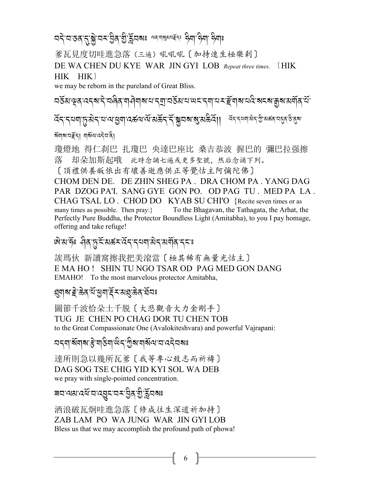অব্বাস্তৰানাৰী অসমীয়া নিৰ্বাস্থ্য আৰু স্থা আৰু স্থা

爹瓦見度切哇進急落 (三遍) 吼吼吼〔加持速生極樂刹〕

DE WA CHEN DU KYE WAR JIN GYI LOB Repeat three times.  $(HIK)$ HIK HIK)

we may be reborn in the pureland of Great Bliss.

<u>ଘ</u>র্ত্তমাঞ্জাবব্রাই অল্পিন আনিয়া আনি আনিয়া আনি মুখ্য সম্পূর্ণ কৰি আনি আনি আ 

ধ্যমানাইনা মাৰ্থ্য বেনী।

瓊燈地 得仁刹巴 扎瓊巴 央達巴座比 桑吉恭波 握巴的 彌巴拉强擦 落 却朵加斯起哦 此時念誦七遍或更多聖號,然后念诵下列。

[頂禮供養皈依出有壞善逝應供正等覺怙主阿彌陀佛]

CHOM DEN DE. DE ZHIN SHEG PA. DRA CHOM PA. YANG DAG PAR DZOG PA'I. SANG GYE GON PO. OD PAG TU. MED PA LA. CHAG TSAL LO, CHOD DO KYAB SU CHI'O {Recite seven times or as many times as possible. Then pray: } To the Bhagavan, the Tathagata, the Arhat, the Perfectly Pure Buddha, the Protector Boundless Light (Amitabha), to you I pay homage, offering and take refuge!

## षिभाईः मेवाङ्गदेशिकसार्येदादयवासेदासर्वोवादयः

誒瑪伙 新讀窩擦我把美滾當〔極其稀有無量光怙主〕 E MA HO! SHIN TU NGO TSAR OD PAG MED GON DANG EMAHO! To the most marvelous protector Amitabha,

#### য়ৢঀয়ৼৗৼড়য়ৼয়ড়৸ৼঀৼ৻য়৻

圖節千波恰朵土千脱〔大悲觀音大力金剛手〕 TUG JE CHEN PO CHAG DOR TU CHEN TOB to the Great Compassionate One (Avalokiteshvara) and powerful Vairapani:

達所則急以幾所瓦爹〔我等專心致志而祈禱〕 DAG SOG TSE CHIG YID KYI SOL WA DEB we pray with single-pointed concentration.

#### 

洒浪破瓦炯哇進急落〔修成往生深道祈加持〕 ZAB LAM PO WA JUNG WAR JIN GYLLOB Bless us that we may accomplish the profound path of phowa!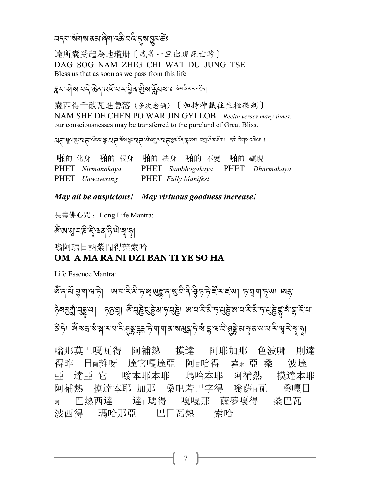#### <u>ଘଟଣା ସୁଧାର ବିଶା ବର୍ଷ ପ୍ରସ୍ତୁ । ଏହ</u>

達所囊受起為地瓊册〔我等一旦出現死亡時〕 DAG SOG NAM ZHIG CHI WA'I DU JUNG TSE Bless us that as soon as we pass from this life

#### **ক্কম প্ৰথা বন্য স্তুপ্ৰযোগ পৰি এই প্ৰয়**াৰ্টি পৰি প্ৰয়োগ বিশ্ববিদ্যালয়

囊西得千破瓦進急落(多次念诵)〔加持神識往生極樂剎〕 NAM SHE DE CHEN PO WAR JIN GYI LOB Recite verses many times. our consciousnesses may be transferred to the pureland of Great Bliss.

ম নায়ুন শ্লীঃ মেন ব্যৱস্থাঃ মেন দুঃ মান প্ৰেপ্ত কৰা প্ৰেপ্ত কৰি প্ৰব্ৰম্ভ বৰ্ত্ত বিদ্যালয় বিদ্যালয় প্ৰদাসী

| 啪的 化身 啪的 報身 啪的 法身 啪的 不變 啪的 顯现 |                                   |  |
|-------------------------------|-----------------------------------|--|
| PHET Nirmanakaya              | PHET Sambhogakaya PHET Dharmakaya |  |
| PHET Unwavering               | <b>PHET</b> Fully Manifest        |  |

#### May all be auspicious! May virtuous goodness increase!

長壽佛心咒: Long Life Mantra:

## জ্ঞান্ম-ষ্ট<sup>ু</sup>ইন্ধৰ্ম দী<sup>টা</sup> ব্যু*ম্*য

嗡阿瑪日訥紫聞得葉索哈

#### OM A MA RA NI DZI BAN TI YE SO HA

Life Essence Mantra:

জৰ্মি হ্ৰান্দেটা জামামীজ জুলুহেন ৰামীক বিভিন্ন হামা চাব্ৰান্দে। জহ ङे हे। अँ बद्य बन्धा स्थान परि सिद्धा स्थान के बाबी बन्ने के बाबी से सिद्धा से बन्ने से बन्ने से बन्ने से बन्न

嗡那莫巴嘎瓦得 阿補熱 摸達 阿耶加那 色波哪 則達 達它嘎達亞 阿日哈得 波達 薩 田桑 得昨 日丽雜呀 達亞 它 嗡本耶本耶 瑪哈本耶 阿補熱 摸達本耶 亞 摸達本耶 加那 桑吧若巴字得 嗡薩日瓦 阿補熱 桑嘎日 巴熱西達 嘎嘎那 薩夢嘎得 桑巴瓦 達ョ瑪得 阿 | 瑪哈那亞 | 巴日瓦熱 | 索哈 波西得